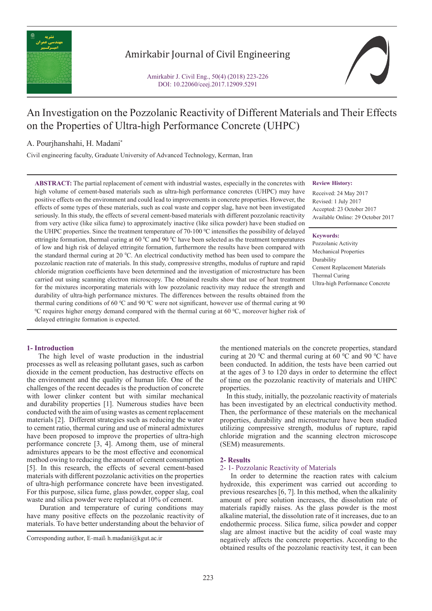

# Amirkabir Journal of Civil Engineering

Amirkabir J. Civil Eng., 50(4) (2018) 223-226 DOI: 10.22060/ceej.2017.12909.5291



# An Investigation on the Pozzolanic Reactivity of Different Materials and Their Effects on the Properties of Ultra-high Performance Concrete (UHPC)

A. Pourjhanshahi, H. Madani\*

Civil engineering faculty, Graduate University of Advanced Technology, Kerman, Iran

**ABSTRACT:** The partial replacement of cement with industrial wastes, especially in the concretes with high volume of cement-based materials such as ultra-high performance concretes (UHPC) may have positive effects on the environment and could lead to improvements in concrete properties. However, the effects of some types of these materials, such as coal waste and copper slag, have not been investigated seriously. In this study, the effects of several cement-based materials with different pozzolanic reactivity from very active (like silica fume) to approximately inactive (like silica powder) have been studied on the UHPC properties. Since the treatment temperature of 70-100  $\degree$ C intensifies the possibility of delayed ettringite formation, thermal curing at 60  $\degree$ C and 90  $\degree$ C have been selected as the treatment temperatures of low and high risk of delayed ettringite formation, furthermore the results have been compared with the standard thermal curing at 20 °C. An electrical conductivity method has been used to compare the pozzolanic reaction rate of materials. In this study, compressive strengths, modulus of rupture and rapid chloride migration coefficients have been determined and the investigation of microstructure has been carried out using scanning electron microscopy. The obtained results show that use of heat treatment for the mixtures incorporating materials with low pozzolanic reactivity may reduce the strength and durability of ultra-high performance mixtures. The differences between the results obtained from the thermal curing conditions of 60 °C and 90 °C were not significant, however use of thermal curing at 90  $\rm{^0C}$  requires higher energy demand compared with the thermal curing at 60  $\rm{^0C}$ , moreover higher risk of delayed ettringite formation is expected.

# **1- Introduction**

 The high level of waste production in the industrial processes as well as releasing pollutant gases, such as carbon dioxide in the cement production, has destructive effects on the environment and the quality of human life. One of the challenges of the recent decades is the production of concrete with lower clinker content but with similar mechanical and durability properties [1]. Numerous studies have been conducted with the aim of using wastes as cement replacement materials [2]. Different strategies such as reducing the water to cement ratio, thermal curing and use of mineral admixtures have been proposed to improve the properties of ultra-high performance concrete [3, 4]. Among them, use of mineral admixtures appears to be the most effective and economical method owing to reducing the amount of cement consumption [5]. In this research, the effects of several cement-based materials with different pozzolanic activities on the properties of ultra-high performance concrete have been investigated. For this purpose, silica fume, glass powder, copper slag, coal waste and silica powder were replaced at 10% of cement.

 Duration and temperature of curing conditions may have many positive effects on the pozzolanic reactivity of materials. To have better understanding about the behavior of **Review History:**

Received: 24 May 2017 Revised: 1 July 2017 Accepted: 23 October 2017 Available Online: 29 October 2017

#### **Keywords:**

Pozzolanic Activity Mechanical Properties Durability Cement Replacement Materials Thermal Curing Ultra-high Performance Concrete

the mentioned materials on the concrete properties, standard curing at 20  $\mathrm{^{\circ}C}$  and thermal curing at 60  $\mathrm{^{\circ}C}$  and 90  $\mathrm{^{\circ}C}$  have been conducted. In addition, the tests have been carried out at the ages of 3 to 120 days in order to determine the effect of time on the pozzolanic reactivity of materials and UHPC properties.

 In this study, initially, the pozzolanic reactivity of materials has been investigated by an electrical conductivity method. Then, the performance of these materials on the mechanical properties, durability and microstructure have been studied utilizing compressive strength, modulus of rupture, rapid chloride migration and the scanning electron microscope (SEM) measurements.

# **2- Results**

# 2- 1- Pozzolanic Reactivity of Materials

 In order to determine the reaction rates with calcium hydroxide, this experiment was carried out according to previous researches [6, 7]. In this method, when the alkalinity amount of pore solution increases, the dissolution rate of materials rapidly raises. As the glass powder is the most alkaline material, the dissolution rate of it increases, due to an endothermic process. Silica fume, silica powder and copper slag are almost inactive but the acidity of coal waste may negatively affects the concrete properties. According to the obtained results of the pozzolanic reactivity test, it can been

Corresponding author, E-mail: h.madani@kgut.ac.ir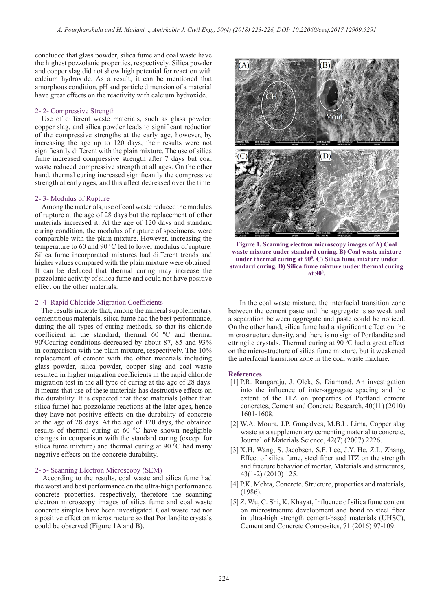concluded that glass powder, silica fume and coal waste have the highest pozzolanic properties, respectively. Silica powder and copper slag did not show high potential for reaction with calcium hydroxide. As a result, it can be mentioned that amorphous condition, pH and particle dimension of a material have great effects on the reactivity with calcium hydroxide.

#### 2- 2- Compressive Strength

 Use of different waste materials, such as glass powder, copper slag, and silica powder leads to significant reduction of the compressive strengths at the early age, however, by increasing the age up to 120 days, their results were not significantly different with the plain mixture. The use of silica fume increased compressive strength after 7 days but coal waste reduced compressive strength at all ages. On the other hand, thermal curing increased significantly the compressive strength at early ages, and this affect decreased over the time.

#### 2- 3- Modulus of Rupture

 Among the materials, use of coal waste reduced the modules of rupture at the age of 28 days but the replacement of other materials increased it. At the age of 120 days and standard curing condition, the modulus of rupture of specimens, were comparable with the plain mixture. However, increasing the temperature to 60 and 90  $\mathrm{^0C}$  led to lower modulus of rupture. Silica fume incorporated mixtures had different trends and higher values compared with the plain mixture were obtained. It can be deduced that thermal curing may increase the pozzolanic activity of silica fume and could not have positive effect on the other materials.

#### 2- 4- Rapid Chloride Migration Coefficients

 The results indicate that, among the mineral supplementary cementitious materials, silica fume had the best performance, during the all types of curing methods, so that its chloride coefficient in the standard, thermal  $60^{\circ}$ C and thermal 90<sup>o</sup>Ccuring conditions decreased by about 87, 85 and 93% in comparison with the plain mixture, respectively. The 10% replacement of cement with the other materials including glass powder, silica powder, copper slag and coal waste resulted in higher migration coefficients in the rapid chloride migration test in the all type of curing at the age of 28 days. It means that use of these materials has destructive effects on the durability. It is expected that these materials (other than silica fume) had pozzolanic reactions at the later ages, hence they have not positive effects on the durability of concrete at the age of 28 days. At the age of 120 days, the obtained results of thermal curing at  $60 °C$  have shown negligible changes in comparison with the standard curing (except for silica fume mixture) and thermal curing at 90  $\mathrm{^0C}$  had many negative effects on the concrete durability.

#### 2- 5- Scanning Electron Microscopy (SEM)

 According to the results, coal waste and silica fume had the worst and best performance on the ultra-high performance concrete properties, respectively, therefore the scanning electron microscopy images of silica fume and coal waste concrete simples have been investigated. Coal waste had not a positive effect on microstructure so that Portlandite crystals could be observed (Figure 1A and B).



**Figure 1. Scanning electron microscopy images of A) Coal waste mixture under standard curing. B) Coal waste mixture**  under thermal curing at 90<sup>°</sup>. C) Silica fume mixture under **standard curing. D) Silica fume mixture under thermal curing at 900 .**

 In the coal waste mixture, the interfacial transition zone between the cement paste and the aggregate is so weak and a separation between aggregate and paste could be noticed. On the other hand, silica fume had a significant effect on the microstructure density, and there is no sign of Portlandite and ettringite crystals. Thermal curing at  $90\,^{\circ}\text{C}$  had a great effect on the microstructure of silica fume mixture, but it weakened the interfacial transition zone in the coal waste mixture.

#### **References**

- [1] P.R. Rangaraju, J. Olek, S. Diamond, An investigation into the influence of inter-aggregate spacing and the extent of the ITZ on properties of Portland cement concretes, Cement and Concrete Research, 40(11) (2010) 1601-1608.
- [2] W.A. Moura, J.P. Gonçalves, M.B.L. Lima, Copper slag waste as a supplementary cementing material to concrete, Journal of Materials Science, 42(7) (2007) 2226.
- [3] X.H. Wang, S. Jacobsen, S.F. Lee, J.Y. He, Z.L. Zhang, Effect of silica fume, steel fiber and ITZ on the strength and fracture behavior of mortar, Materials and structures, 43(1-2) (2010) 125.
- [4] P.K. Mehta, Concrete. Structure, properties and materials, (1986).
- [5] Z. Wu, C. Shi, K. Khayat, Influence of silica fume content on microstructure development and bond to steel fiber in ultra-high strength cement-based materials (UHSC), Cement and Concrete Composites, 71 (2016) 97-109.